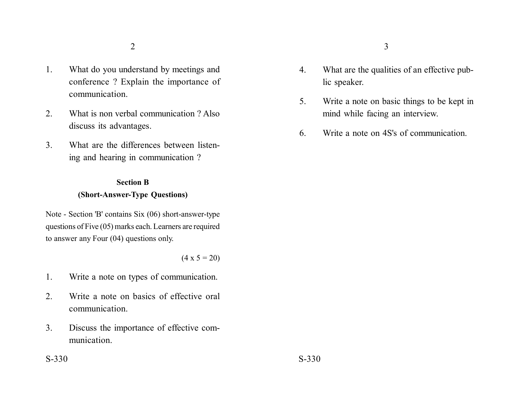- 1. What do you understand by meetings and conference ? Explain the importance of communication.
- 2. What is non verbal communication ? Also discuss its advantages.
- 3. What are the differences between listening and hearing in communication ?

## **Section B (Short-Answer-Type Questions)**

Note - Section 'B' contains Six (06) short-answer-type questions of Five (05) marks each. Learners are required to answer any Four (04) questions only.

 $(4 \times 5 = 20)$ 

- 1. Write a note on types of communication.
- 2. Write a note on basics of effective oral communication.
- 3. Discuss the importance of effective communication.
- 4. What are the qualities of an effective public speaker.
- 5. Write a note on basic things to be kept in mind while facing an interview.
- 6. Write a note on 4S's of communication.

 $S-330$   $S-330$